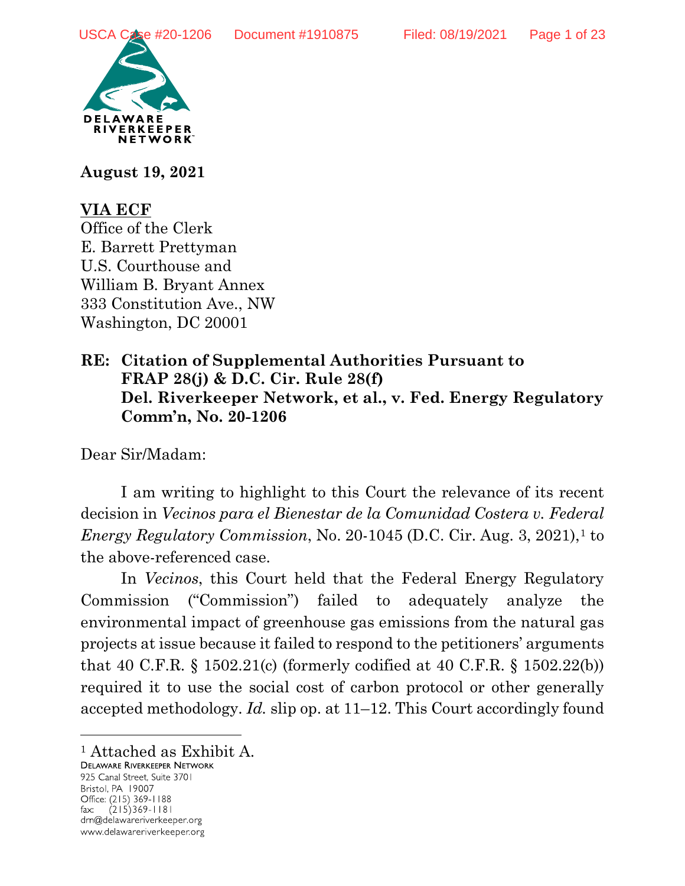

**August 19, 2021**

# **VIA ECF**

Office of the Clerk E. Barrett Prettyman U.S. Courthouse and William B. Bryant Annex 333 Constitution Ave., NW Washington, DC 20001

## **RE: Citation of Supplemental Authorities Pursuant to FRAP 28(j) & D.C. Cir. Rule 28(f) Del. Riverkeeper Network, et al., v. Fed. Energy Regulatory Comm'n, No. 20-1206**

Dear Sir/Madam:

I am writing to highlight to this Court the relevance of its recent decision in *Vecinos para el Bienestar de la Comunidad Costera v. Federal Energy Regulatory Commission, No. 20-[1](#page-0-0)045 (D.C. Cir. Aug. 3, 2021),<sup>1</sup> to* the above-referenced case.

In *Vecinos*, this Court held that the Federal Energy Regulatory Commission ("Commission") failed to adequately analyze the environmental impact of greenhouse gas emissions from the natural gas projects at issue because it failed to respond to the petitioners' arguments that 40 C.F.R. § 1502.21(c) (formerly codified at 40 C.F.R. § 1502.22(b)) required it to use the social cost of carbon protocol or other generally accepted methodology. *Id.* slip op. at 11–12. This Court accordingly found

925 Canal Street, Suite 3701 Bristol, PA 19007 Office: (215) 369-1188  $(215)369 - 1181$ fax: drn@delawareriverkeeper.org www.delawareriverkeeper.org

 $\overline{a}$ 

<span id="page-0-0"></span><sup>&</sup>lt;sup>1</sup> Attached as Exhibit A.<br>Delaware Riverkeeper Network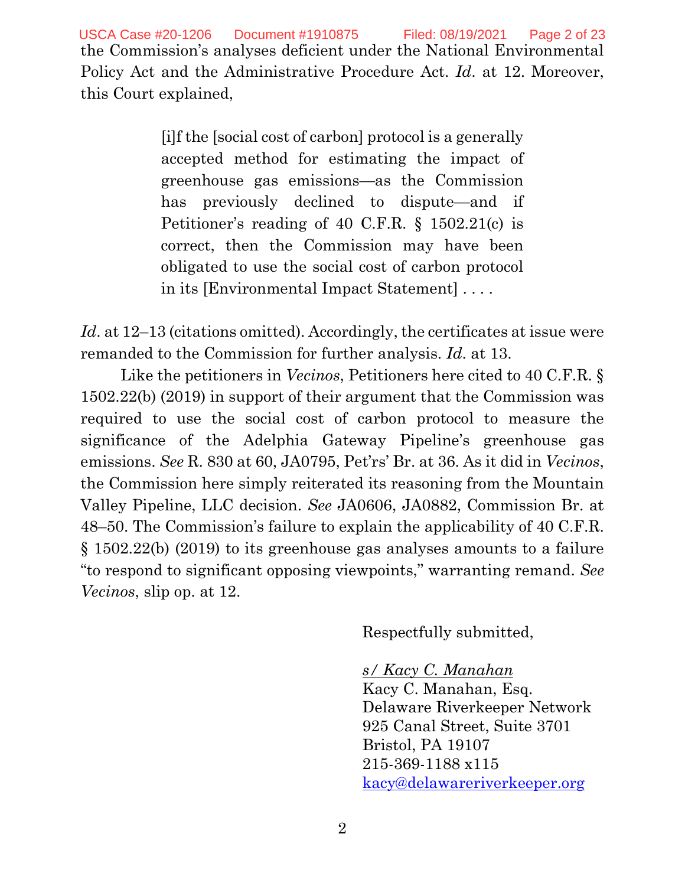this Court explained,

[i]f the [social cost of carbon] protocol is a generally accepted method for estimating the impact of greenhouse gas emissions—as the Commission has previously declined to dispute—and if Petitioner's reading of 40 C.F.R. § 1502.21(c) is correct, then the Commission may have been obligated to use the social cost of carbon protocol in its [Environmental Impact Statement] . . . .

*Id.* at 12–13 (citations omitted). Accordingly, the certificates at issue were remanded to the Commission for further analysis. *Id*. at 13.

Like the petitioners in *Vecinos*, Petitioners here cited to 40 C.F.R. § 1502.22(b) (2019) in support of their argument that the Commission was required to use the social cost of carbon protocol to measure the significance of the Adelphia Gateway Pipeline's greenhouse gas emissions. *See* R. 830 at 60, JA0795, Pet'rs' Br. at 36. As it did in *Vecinos*, the Commission here simply reiterated its reasoning from the Mountain Valley Pipeline, LLC decision. *See* JA0606, JA0882, Commission Br. at 48–50. The Commission's failure to explain the applicability of 40 C.F.R. § 1502.22(b) (2019) to its greenhouse gas analyses amounts to a failure "to respond to significant opposing viewpoints," warranting remand. *See Vecinos*, slip op. at 12.

Respectfully submitted,

## *s/ Kacy C. Manahan*

Kacy C. Manahan, Esq. Delaware Riverkeeper Network 925 Canal Street, Suite 3701 Bristol, PA 19107 215-369-1188 x115 [kacy@delawareriverkeeper.org](mailto:kacy@delawareriverkeeper.org)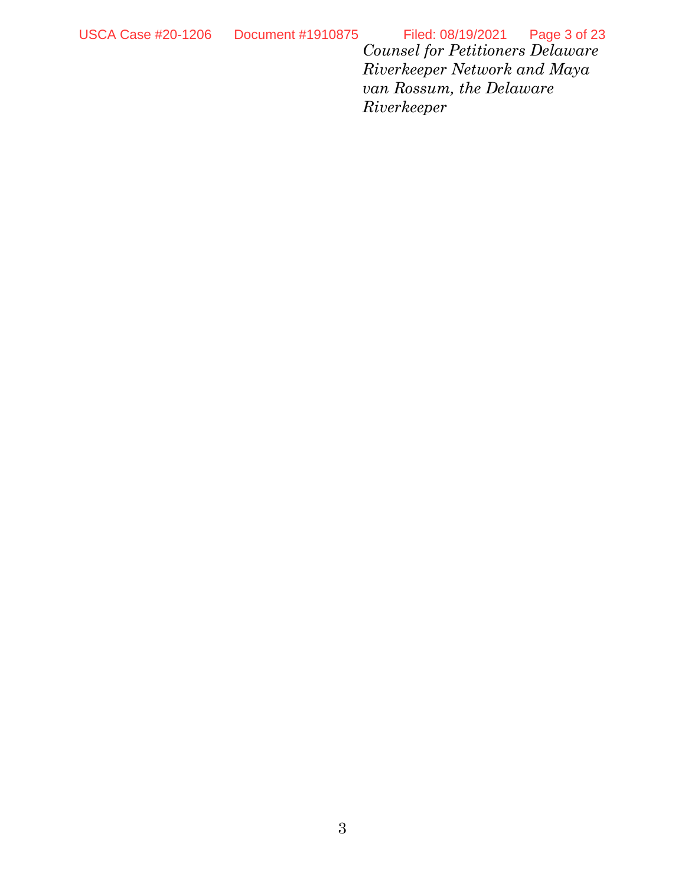*Counsel for Petitioners Delaware Riverkeeper Network and Maya van Rossum, the Delaware Riverkeeper* USCA Case #20-1206 Document #1910875 Filed: 08/19/2021 Page 3 of 23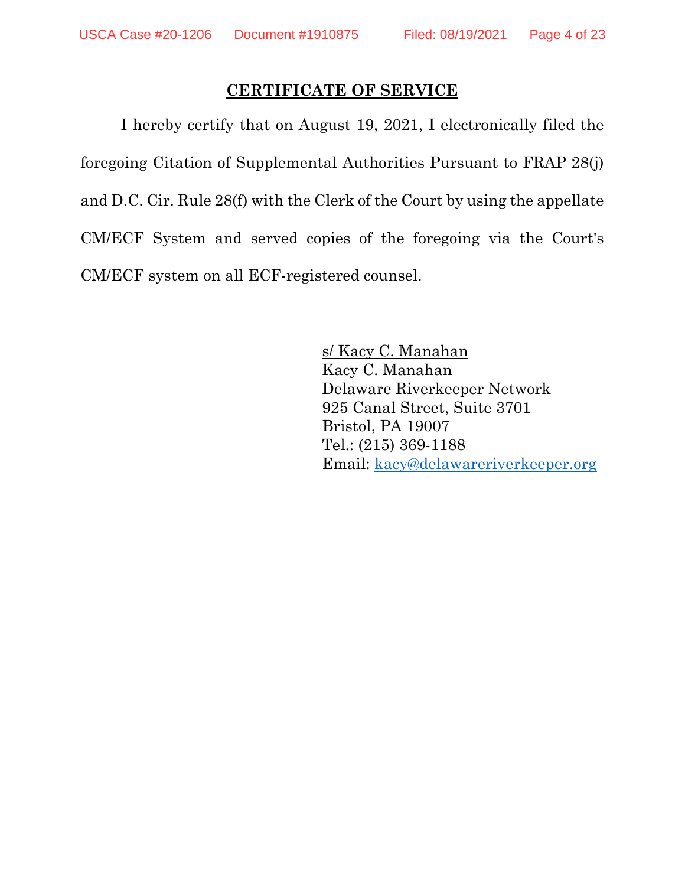### **CERTIFICATE OF SERVICE**

I hereby certify that on August 19, 2021, I electronically filed the foregoing Citation of Supplemental Authorities Pursuant to FRAP 28(j) and D.C. Cir. Rule 28(f) with the Clerk of the Court by using the appellate CM/ECF System and served copies of the foregoing via the Court's CM/ECF system on all ECF-registered counsel.

> s/ Kacy C. Manahan Kacy C. Manahan Delaware Riverkeeper Network 925 Canal Street, Suite 3701 Bristol, PA 19007 Tel.: (215) 369-1188 Email: [kacy@delawareriverkeeper.org](mailto:kacy@delawareriverkeeper.org)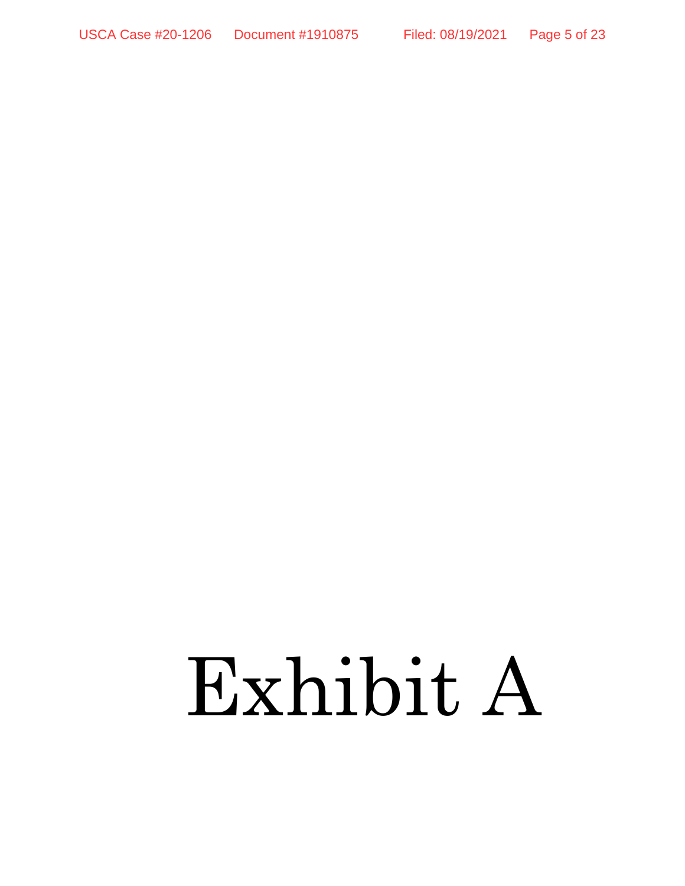# Exhibit A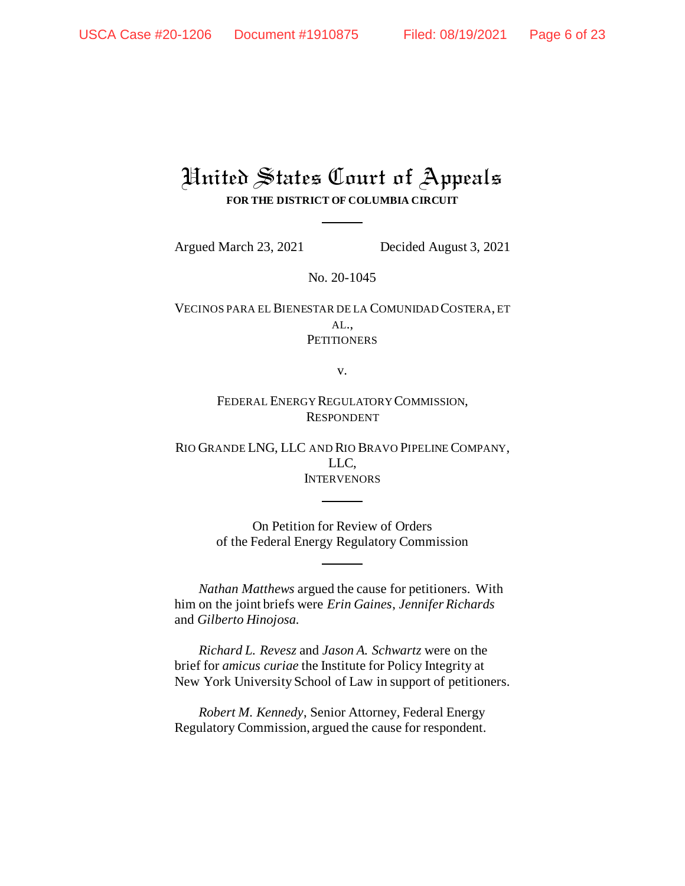## United States Court of Appeals **FOR THE DISTRICT OF COLUMBIA CIRCUIT**

Argued March 23, 2021 Decided August 3, 2021

No. 20-1045

VECINOS PARA EL BIENESTAR DE LA COMUNIDAD COSTERA, ET  $AL.$ **PETITIONERS** 

v.

FEDERAL ENERGY REGULATORY COMMISSION, RESPONDENT

RIO GRANDE LNG, LLC AND RIO BRAVO PIPELINE COMPANY, LLC, INTERVENORS

> On Petition for Review of Orders of the Federal Energy Regulatory Commission

*Nathan Matthews* argued the cause for petitioners. With him on the joint briefs were *Erin Gaines*, *Jennifer Richards* and *Gilberto Hinojosa.*

*Richard L. Revesz* and *Jason A. Schwartz* were on the brief for *amicus curiae* the Institute for Policy Integrity at New York University School of Law in support of petitioners.

*Robert M. Kennedy*, Senior Attorney, Federal Energy Regulatory Commission, argued the cause for respondent.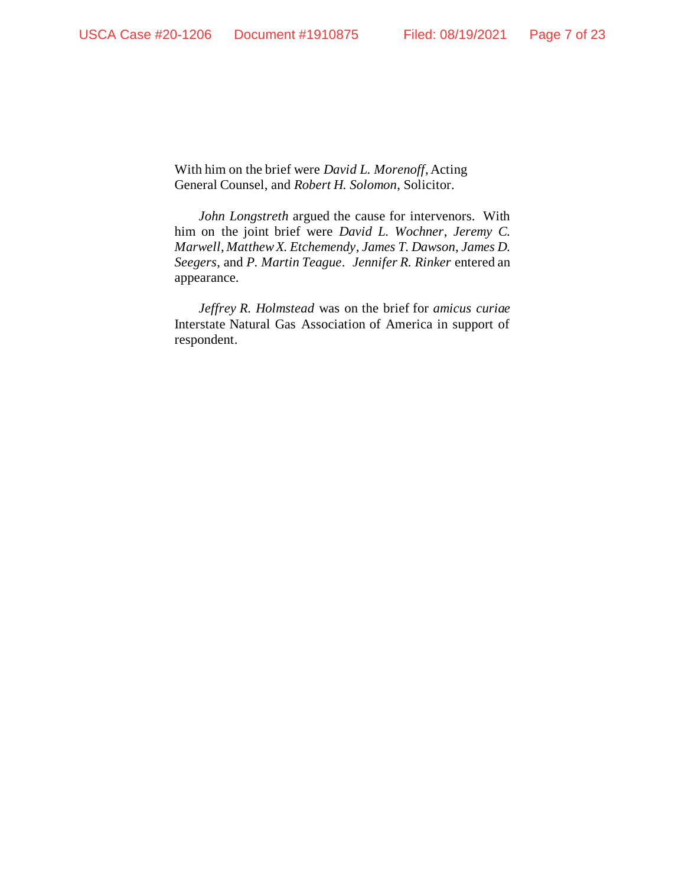With him on the brief were *David L. Morenoff*, Acting General Counsel, and *Robert H. Solomon*, Solicitor.

*John Longstreth* argued the cause for intervenors. With him on the joint brief were *David L. Wochner*, *Jeremy C. Marwell*, *Matthew X. Etchemendy*, *James T. Dawson*, *James D. Seegers*, and *P. Martin Teague*. *Jennifer R. Rinker* entered an appearance.

*Jeffrey R. Holmstead* was on the brief for *amicus curiae*  Interstate Natural Gas Association of America in support of respondent.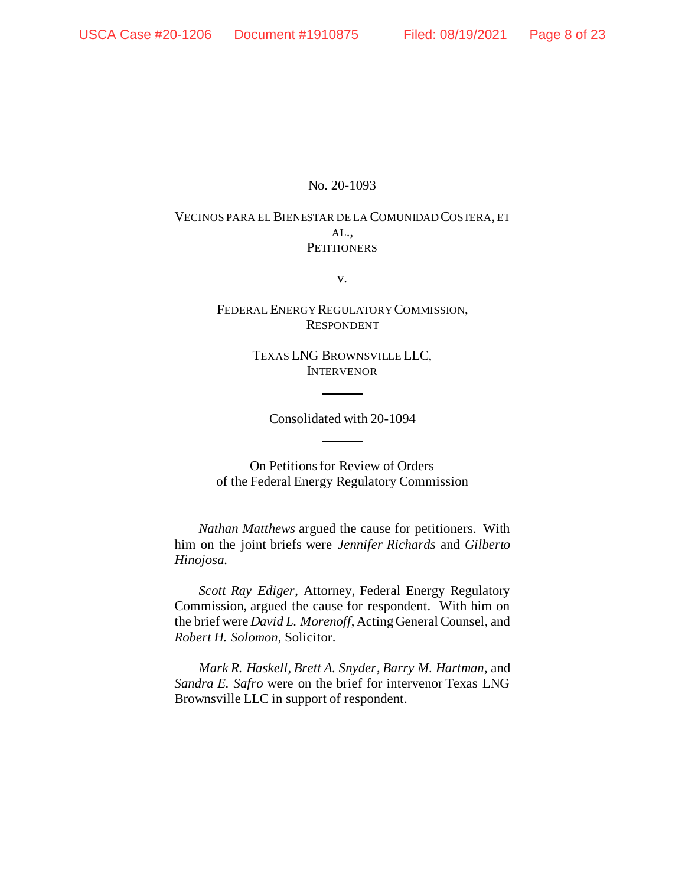#### No. 20-1093

#### VECINOS PARA EL BIENESTAR DE LA COMUNIDAD COSTERA, ET AL., **PETITIONERS**

v.

FEDERAL ENERGY REGULATORY COMMISSION, RESPONDENT

> TEXAS LNG BROWNSVILLE LLC, INTERVENOR

Consolidated with 20-1094

On Petitions for Review of Orders of the Federal Energy Regulatory Commission

*Nathan Matthews* argued the cause for petitioners. With him on the joint briefs were *Jennifer Richards* and *Gilberto Hinojosa.*

*Scott Ray Ediger*, Attorney, Federal Energy Regulatory Commission, argued the cause for respondent. With him on the brief were *David L. Morenoff*, Acting General Counsel, and *Robert H. Solomon*, Solicitor.

*Mark R. Haskell, Brett A. Snyder*, *Barry M. Hartman*, and *Sandra E. Safro* were on the brief for intervenor Texas LNG Brownsville LLC in support of respondent.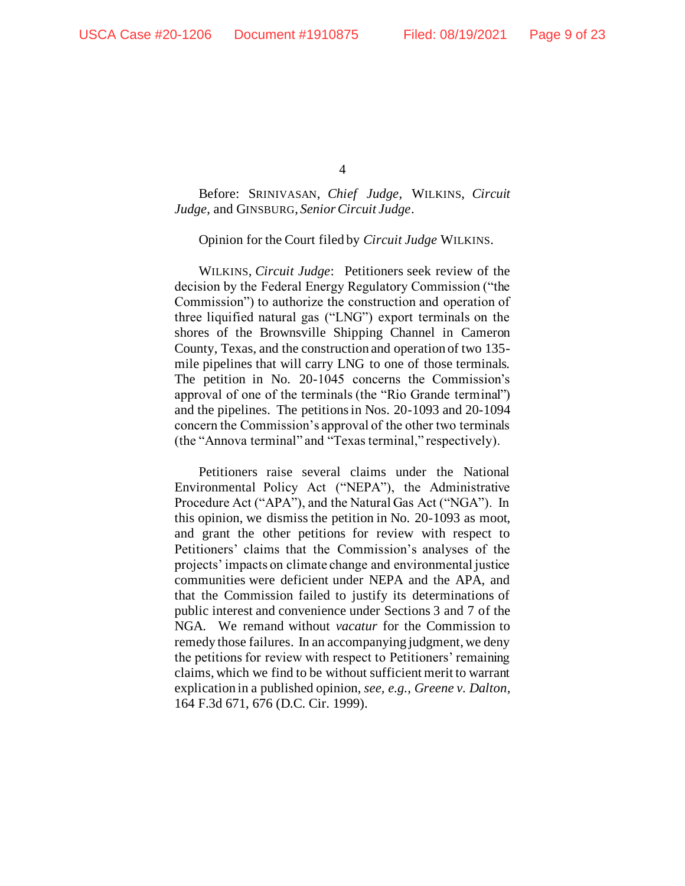Before: SRINIVASAN, *Chief Judge*, WILKINS, *Circuit Judge*, and GINSBURG, *Senior Circuit Judge*.

Opinion for the Court filed by *Circuit Judge* WILKINS.

WILKINS, *Circuit Judge*:Petitioners seek review of the decision by the Federal Energy Regulatory Commission ("the Commission") to authorize the construction and operation of three liquified natural gas ("LNG") export terminals on the shores of the Brownsville Shipping Channel in Cameron County, Texas, and the construction and operation of two 135 mile pipelines that will carry LNG to one of those terminals. The petition in No. 20-1045 concerns the Commission's approval of one of the terminals (the "Rio Grande terminal") and the pipelines. The petitions in Nos. 20-1093 and 20-1094 concern the Commission's approval of the other two terminals (the "Annova terminal" and "Texas terminal," respectively).

Petitioners raise several claims under the National Environmental Policy Act ("NEPA"), the Administrative Procedure Act ("APA"), and the Natural Gas Act ("NGA"). In this opinion, we dismiss the petition in No. 20-1093 as moot, and grant the other petitions for review with respect to Petitioners' claims that the Commission's analyses of the projects' impacts on climate change and environmental justice communities were deficient under NEPA and the APA, and that the Commission failed to justify its determinations of public interest and convenience under Sections 3 and 7 of the NGA. We remand without *vacatur* for the Commission to remedy those failures. In an accompanying judgment, we deny the petitions for review with respect to Petitioners' remaining claims, which we find to be without sufficient merit to warrant explication in a published opinion, *see, e.g.*, *Greene v. Dalton*, 164 F.3d 671, 676 (D.C. Cir. 1999).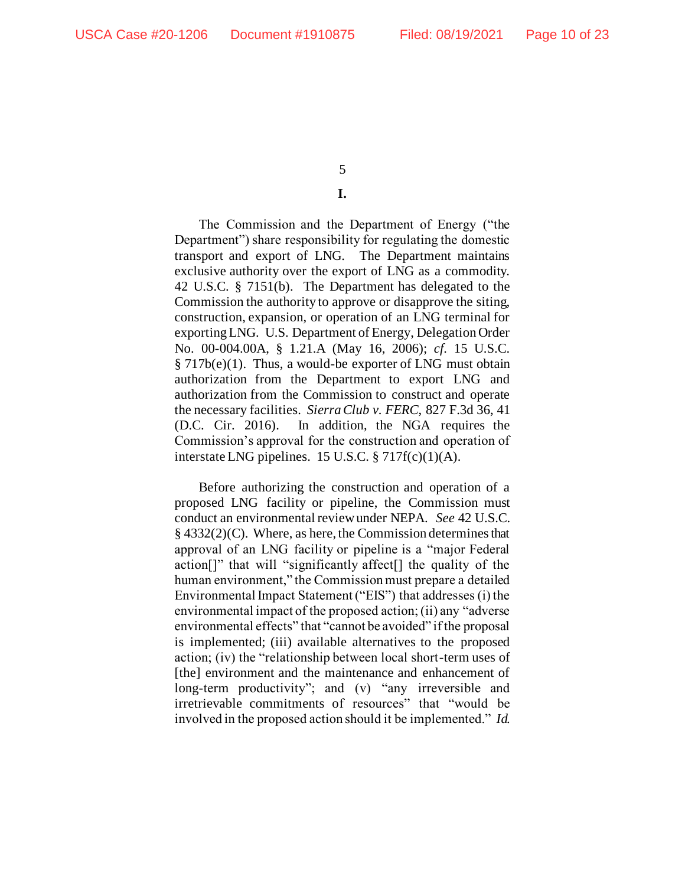#### **I.**

The Commission and the Department of Energy ("the Department") share responsibility for regulating the domestic transport and export of LNG. The Department maintains exclusive authority over the export of LNG as a commodity. 42 U.S.C. § 7151(b). The Department has delegated to the Commission the authority to approve or disapprove the siting, construction, expansion, or operation of an LNG terminal for exporting LNG. U.S. Department of Energy, Delegation Order No. 00-004.00A, § 1.21.A (May 16, 2006); *cf.* 15 U.S.C. § 717b(e)(1). Thus, a would-be exporter of LNG must obtain authorization from the Department to export LNG and authorization from the Commission to construct and operate the necessary facilities. *Sierra Club v. FERC*, 827 F.3d 36, 41 (D.C. Cir. 2016). In addition, the NGA requires the Commission's approval for the construction and operation of interstate LNG pipelines. 15 U.S.C. § 717f(c)(1)(A).

Before authorizing the construction and operation of a proposed LNG facility or pipeline, the Commission must conduct an environmental review under NEPA. *See* 42 U.S.C. § 4332(2)(C). Where, as here, the Commission determines that approval of an LNG facility or pipeline is a "major Federal action[]" that will "significantly affect[] the quality of the human environment," the Commission must prepare a detailed Environmental Impact Statement ("EIS") that addresses (i) the environmental impact of the proposed action; (ii) any "adverse environmental effects" that "cannot be avoided" if the proposal is implemented; (iii) available alternatives to the proposed action; (iv) the "relationship between local short-term uses of [the] environment and the maintenance and enhancement of long-term productivity"; and (v) "any irreversible and irretrievable commitments of resources" that "would be involved in the proposed action should it be implemented." *Id.*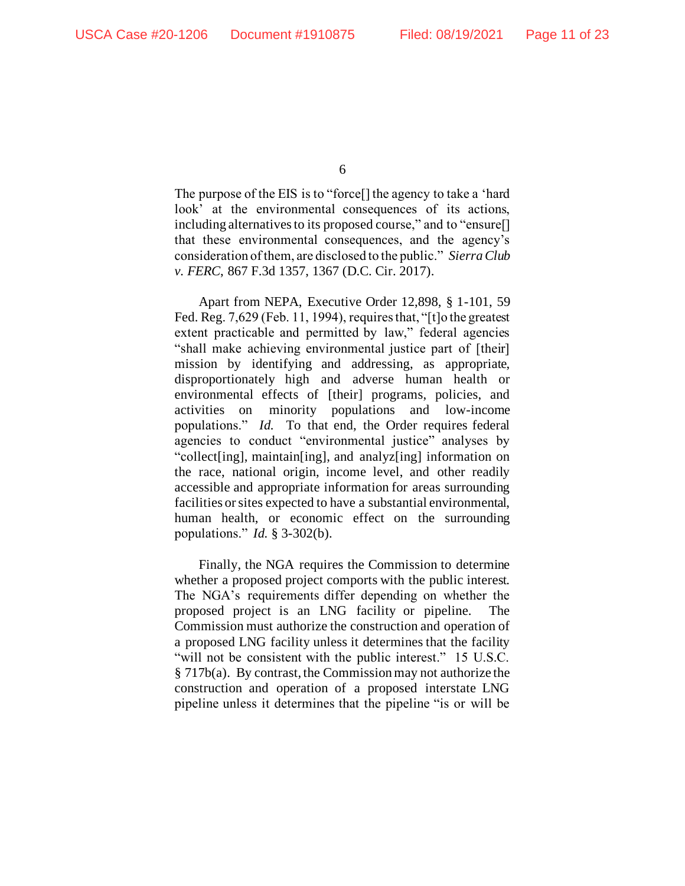The purpose of the EIS is to "force[] the agency to take a 'hard look' at the environmental consequences of its actions, including alternatives to its proposed course," and to "ensure[] that these environmental consequences, and the agency's consideration of them, are disclosed to the public." *Sierra Club v. FERC*, 867 F.3d 1357, 1367 (D.C. Cir. 2017).

Apart from NEPA, Executive Order 12,898, § 1-101, 59 Fed. Reg. 7,629 (Feb. 11, 1994), requires that, "[t]o the greatest extent practicable and permitted by law," federal agencies "shall make achieving environmental justice part of [their] mission by identifying and addressing, as appropriate, disproportionately high and adverse human health or environmental effects of [their] programs, policies, and activities on minority populations and low-income populations." *Id.* To that end, the Order requires federal agencies to conduct "environmental justice" analyses by "collect[ing], maintain[ing], and analyz[ing] information on the race, national origin, income level, and other readily accessible and appropriate information for areas surrounding facilities or sites expected to have a substantial environmental, human health, or economic effect on the surrounding populations." *Id.* § 3-302(b).

Finally, the NGA requires the Commission to determine whether a proposed project comports with the public interest. The NGA's requirements differ depending on whether the proposed project is an LNG facility or pipeline. The Commission must authorize the construction and operation of a proposed LNG facility unless it determines that the facility "will not be consistent with the public interest." 15 U.S.C. § 717b(a). By contrast, the Commission may not authorize the construction and operation of a proposed interstate LNG pipeline unless it determines that the pipeline "is or will be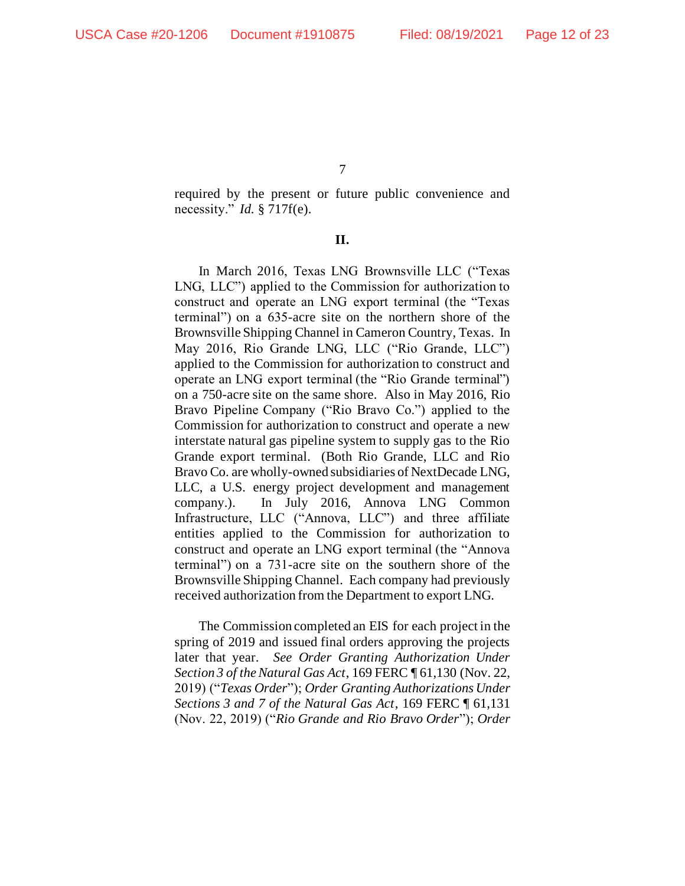required by the present or future public convenience and necessity." *Id.* § 717f(e).

#### **II.**

In March 2016, Texas LNG Brownsville LLC ("Texas LNG, LLC") applied to the Commission for authorization to construct and operate an LNG export terminal (the "Texas terminal") on a 635-acre site on the northern shore of the Brownsville Shipping Channel in Cameron Country, Texas. In May 2016, Rio Grande LNG, LLC ("Rio Grande, LLC") applied to the Commission for authorization to construct and operate an LNG export terminal (the "Rio Grande terminal") on a 750-acre site on the same shore. Also in May 2016, Rio Bravo Pipeline Company ("Rio Bravo Co.") applied to the Commission for authorization to construct and operate a new interstate natural gas pipeline system to supply gas to the Rio Grande export terminal. (Both Rio Grande, LLC and Rio Bravo Co. are wholly-owned subsidiaries of NextDecade LNG, LLC, a U.S. energy project development and management company.). In July 2016, Annova LNG Common Infrastructure, LLC ("Annova, LLC") and three affiliate entities applied to the Commission for authorization to construct and operate an LNG export terminal (the "Annova terminal") on a 731-acre site on the southern shore of the Brownsville Shipping Channel. Each company had previously received authorization from the Department to export LNG.

The Commission completed an EIS for each project in the spring of 2019 and issued final orders approving the projects later that year. *See Order Granting Authorization Under Section 3 of the Natural Gas Act*, 169 FERC ¶ 61,130 (Nov. 22, 2019) ("*Texas Order*"); *Order Granting Authorizations Under Sections 3 and 7 of the Natural Gas Act*, 169 FERC ¶ 61,131 (Nov. 22, 2019) ("*Rio Grande and Rio Bravo Order*"); *Order*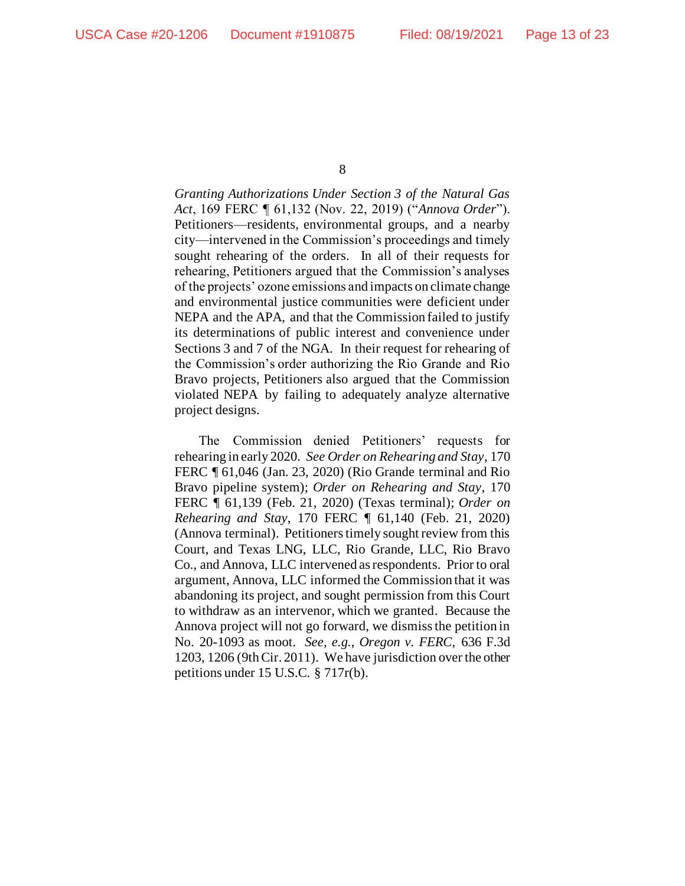*Granting Authorizations Under Section 3 of the Natural Gas Act*, 169 FERC ¶ 61,132 (Nov. 22, 2019) ("*Annova Order*"). Petitioners—residents, environmental groups, and a nearby city—intervened in the Commission's proceedings and timely sought rehearing of the orders. In all of their requests for rehearing, Petitioners argued that the Commission's analyses of the projects' ozone emissions and impacts on climate change and environmental justice communities were deficient under NEPA and the APA, and that the Commission failed to justify its determinations of public interest and convenience under Sections 3 and 7 of the NGA. In their request for rehearing of the Commission's order authorizing the Rio Grande and Rio Bravo projects, Petitioners also argued that the Commission violated NEPA by failing to adequately analyze alternative project designs.

The Commission denied Petitioners' requests for rehearing in early 2020. *See Order on Rehearing and Stay*, 170 FERC ¶ 61,046 (Jan. 23, 2020) (Rio Grande terminal and Rio Bravo pipeline system); *Order on Rehearing and Stay*, 170 FERC ¶ 61,139 (Feb. 21, 2020) (Texas terminal); *Order on Rehearing and Stay*, 170 FERC ¶ 61,140 (Feb. 21, 2020) (Annova terminal). Petitioners timely sought review from this Court, and Texas LNG, LLC, Rio Grande, LLC, Rio Bravo Co., and Annova, LLC intervened as respondents. Prior to oral argument, Annova, LLC informed the Commission that it was abandoning its project, and sought permission from this Court to withdraw as an intervenor, which we granted. Because the Annova project will not go forward, we dismiss the petition in No. 20-1093 as moot. *See, e.g.*, *Oregon v. FERC*, 636 F.3d 1203, 1206 (9th Cir. 2011). We have jurisdiction over the other petitions under 15 U.S.C. § 717r(b).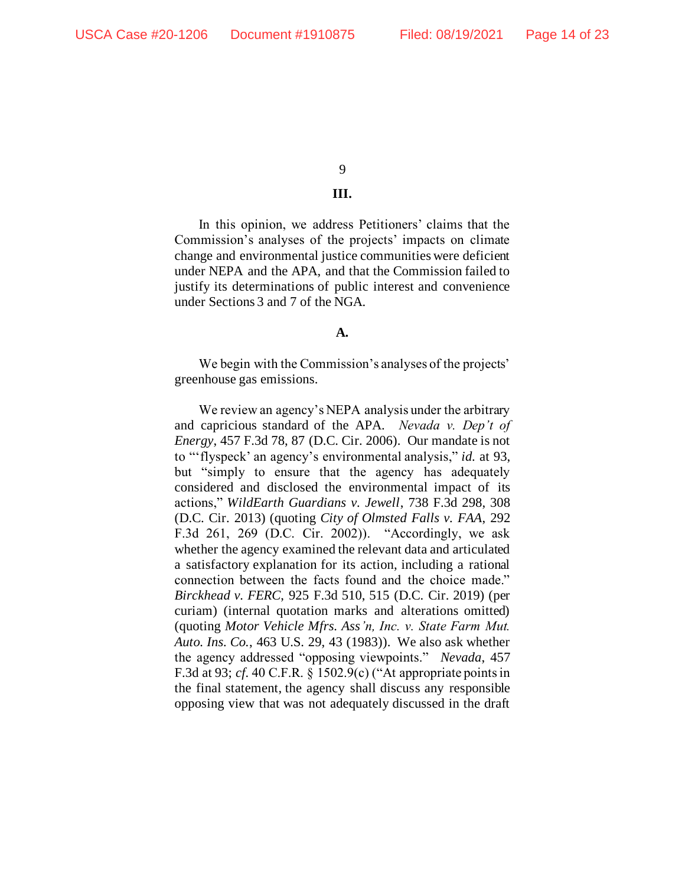#### **III.**

In this opinion, we address Petitioners' claims that the Commission's analyses of the projects' impacts on climate change and environmental justice communities were deficient under NEPA and the APA, and that the Commission failed to justify its determinations of public interest and convenience under Sections 3 and 7 of the NGA.

#### **A.**

We begin with the Commission's analyses of the projects' greenhouse gas emissions.

We review an agency's NEPA analysis under the arbitrary and capricious standard of the APA. *Nevada v. Dep't of Energy*, 457 F.3d 78, 87 (D.C. Cir. 2006). Our mandate is not to "'flyspeck' an agency's environmental analysis," *id.* at 93, but "simply to ensure that the agency has adequately considered and disclosed the environmental impact of its actions," *WildEarth Guardians v. Jewell*, 738 F.3d 298, 308 (D.C. Cir. 2013) (quoting *City of Olmsted Falls v. FAA*, 292 F.3d 261, 269 (D.C. Cir. 2002)). "Accordingly, we ask whether the agency examined the relevant data and articulated a satisfactory explanation for its action, including a rational connection between the facts found and the choice made." *Birckhead v. FERC*, 925 F.3d 510, 515 (D.C. Cir. 2019) (per curiam) (internal quotation marks and alterations omitted) (quoting *Motor Vehicle Mfrs. Ass'n, Inc. v. State Farm Mut. Auto. Ins. Co.*, 463 U.S. 29, 43 (1983)). We also ask whether the agency addressed "opposing viewpoints." *Nevada*, 457 F.3d at 93; *cf.* 40 C.F.R. § 1502.9(c) ("At appropriate points in the final statement, the agency shall discuss any responsible opposing view that was not adequately discussed in the draft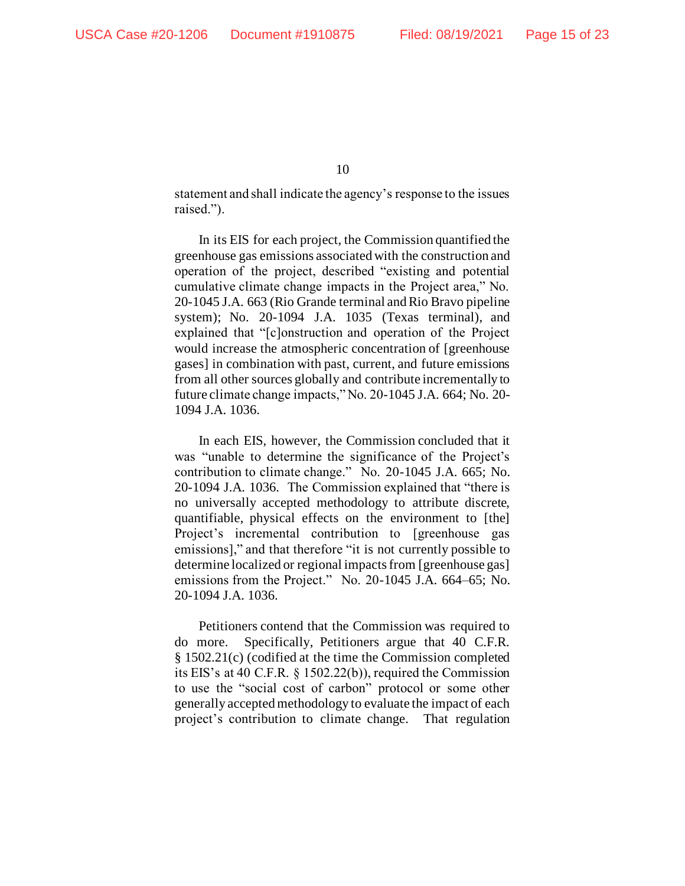statement and shall indicate the agency's response to the issues raised.").

In its EIS for each project, the Commission quantified the greenhouse gas emissions associated with the construction and operation of the project, described "existing and potential cumulative climate change impacts in the Project area," No. 20-1045 J.A. 663 (Rio Grande terminal and Rio Bravo pipeline system); No. 20-1094 J.A. 1035 (Texas terminal), and explained that "[c]onstruction and operation of the Project would increase the atmospheric concentration of [greenhouse gases] in combination with past, current, and future emissions from all other sources globally and contribute incrementally to future climate change impacts," No. 20-1045 J.A. 664; No. 20- 1094 J.A. 1036.

In each EIS, however, the Commission concluded that it was "unable to determine the significance of the Project's contribution to climate change." No. 20-1045 J.A. 665; No. 20-1094 J.A. 1036.The Commission explained that "there is no universally accepted methodology to attribute discrete, quantifiable, physical effects on the environment to [the] Project's incremental contribution to [greenhouse gas emissions]," and that therefore "it is not currently possible to determine localized or regional impacts from [greenhouse gas] emissions from the Project." No. 20-1045 J.A. 664–65; No. 20-1094 J.A. 1036.

Petitioners contend that the Commission was required to do more. Specifically, Petitioners argue that 40 C.F.R. § 1502.21(c) (codified at the time the Commission completed its EIS's at 40 C.F.R. § 1502.22(b)), required the Commission to use the "social cost of carbon" protocol or some other generally accepted methodology to evaluate the impact of each project's contribution to climate change. That regulation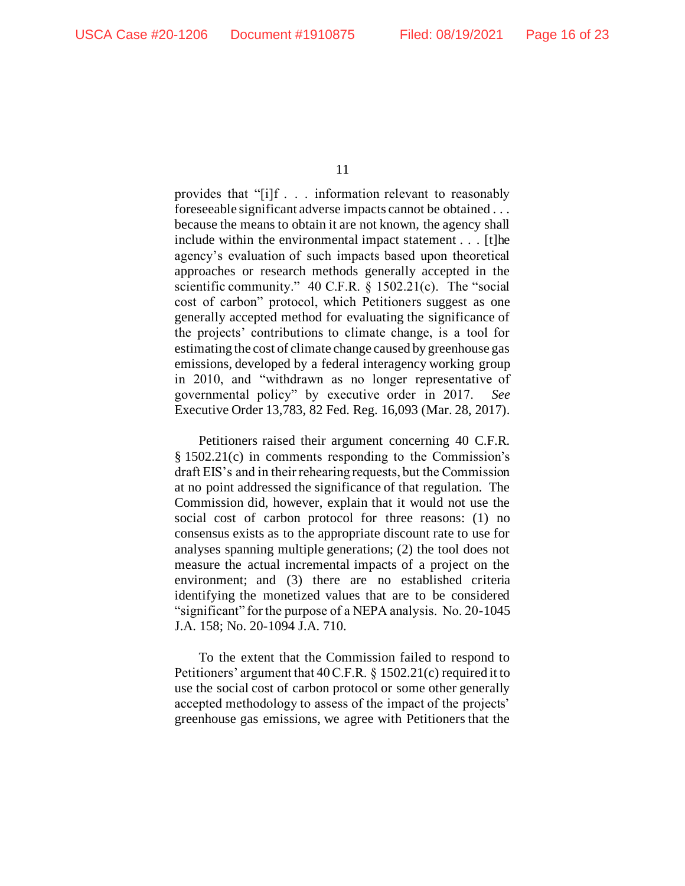provides that "[i]f . . . information relevant to reasonably foreseeable significant adverse impacts cannot be obtained . . . because the means to obtain it are not known, the agency shall include within the environmental impact statement . . . [t]he agency's evaluation of such impacts based upon theoretical approaches or research methods generally accepted in the scientific community." 40 C.F.R. § 1502.21(c). The "social cost of carbon" protocol, which Petitioners suggest as one generally accepted method for evaluating the significance of the projects' contributions to climate change, is a tool for estimating the cost of climate change caused by greenhouse gas emissions, developed by a federal interagency working group in 2010, and "withdrawn as no longer representative of governmental policy" by executive order in 2017. *See*  Executive Order 13,783, 82 Fed. Reg. 16,093 (Mar. 28, 2017).

Petitioners raised their argument concerning 40 C.F.R. § 1502.21(c) in comments responding to the Commission's draft EIS's and in their rehearing requests, but the Commission at no point addressed the significance of that regulation. The Commission did, however, explain that it would not use the social cost of carbon protocol for three reasons: (1) no consensus exists as to the appropriate discount rate to use for analyses spanning multiple generations; (2) the tool does not measure the actual incremental impacts of a project on the environment; and (3) there are no established criteria identifying the monetized values that are to be considered "significant" for the purpose of a NEPA analysis. No. 20-1045 J.A. 158; No. 20-1094 J.A. 710.

To the extent that the Commission failed to respond to Petitioners' argument that 40 C.F.R. § 1502.21(c) required it to use the social cost of carbon protocol or some other generally accepted methodology to assess of the impact of the projects' greenhouse gas emissions, we agree with Petitioners that the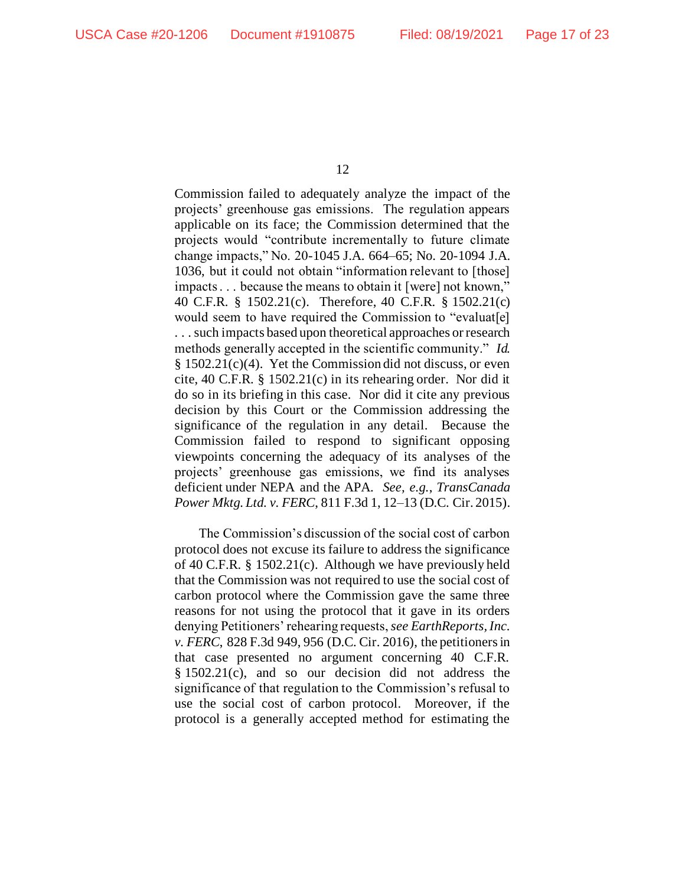Commission failed to adequately analyze the impact of the projects' greenhouse gas emissions. The regulation appears applicable on its face; the Commission determined that the projects would "contribute incrementally to future climate change impacts," No. 20-1045 J.A. 664–65; No. 20-1094 J.A. 1036, but it could not obtain "information relevant to [those] impacts . . . because the means to obtain it [were] not known," 40 C.F.R. § 1502.21(c). Therefore, 40 C.F.R. § 1502.21(c) would seem to have required the Commission to "evaluat[e] . . . such impacts based upon theoretical approaches or research methods generally accepted in the scientific community." *Id.*  $§ 1502.21(c)(4)$ . Yet the Commission did not discuss, or even cite, 40 C.F.R. § 1502.21(c) in its rehearing order. Nor did it do so in its briefing in this case. Nor did it cite any previous decision by this Court or the Commission addressing the significance of the regulation in any detail. Because the Commission failed to respond to significant opposing viewpoints concerning the adequacy of its analyses of the projects' greenhouse gas emissions, we find its analyses deficient under NEPA and the APA. *See, e.g.*, *TransCanada Power Mktg. Ltd. v. FERC*, 811 F.3d 1, 12–13 (D.C. Cir. 2015).

The Commission's discussion of the social cost of carbon protocol does not excuse its failure to address the significance of 40 C.F.R. § 1502.21(c). Although we have previously held that the Commission was not required to use the social cost of carbon protocol where the Commission gave the same three reasons for not using the protocol that it gave in its orders denying Petitioners' rehearing requests, *see EarthReports, Inc. v. FERC*, 828 F.3d 949, 956 (D.C. Cir. 2016), the petitioners in that case presented no argument concerning 40 C.F.R. § 1502.21(c), and so our decision did not address the significance of that regulation to the Commission's refusal to use the social cost of carbon protocol. Moreover, if the protocol is a generally accepted method for estimating the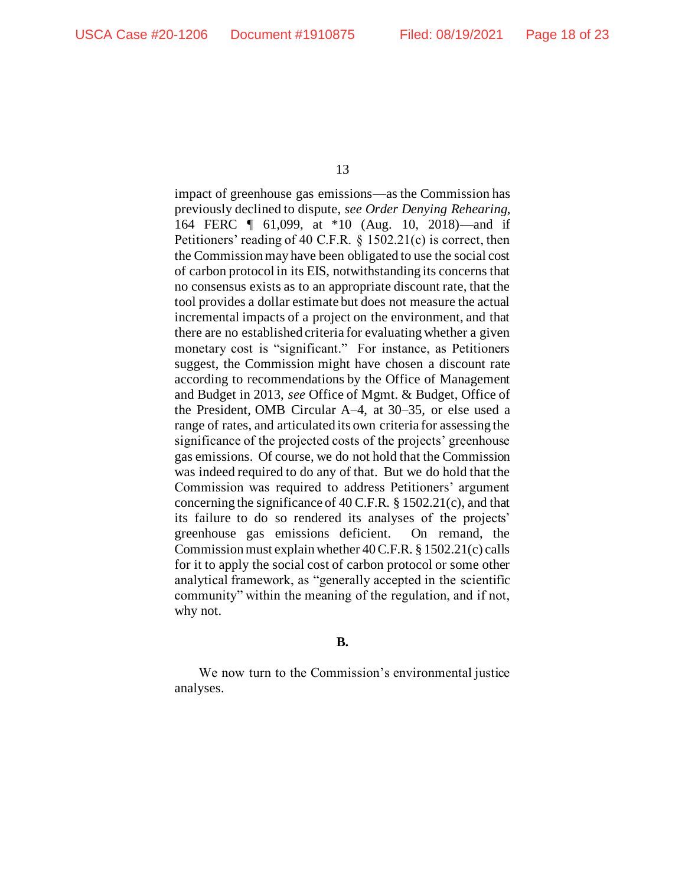impact of greenhouse gas emissions—as the Commission has previously declined to dispute, *see Order Denying Rehearing*, 164 FERC ¶ 61,099, at \*10 (Aug. 10, 2018)—and if Petitioners' reading of 40 C.F.R. § 1502.21(c) is correct, then the Commission may have been obligated to use the social cost of carbon protocol in its EIS, notwithstanding its concerns that no consensus exists as to an appropriate discount rate, that the tool provides a dollar estimate but does not measure the actual incremental impacts of a project on the environment, and that there are no established criteria for evaluating whether a given monetary cost is "significant." For instance, as Petitioners suggest, the Commission might have chosen a discount rate according to recommendations by the Office of Management and Budget in 2013, *see* Office of Mgmt. & Budget, Office of the President, OMB Circular A–4, at 30–35, or else used a range of rates, and articulated its own criteria for assessing the significance of the projected costs of the projects' greenhouse gas emissions. Of course, we do not hold that the Commission was indeed required to do any of that. But we do hold that the Commission was required to address Petitioners' argument concerning the significance of 40 C.F.R. § 1502.21(c), and that its failure to do so rendered its analyses of the projects' greenhouse gas emissions deficient. On remand, the Commission must explain whether 40 C.F.R. § 1502.21(c) calls for it to apply the social cost of carbon protocol or some other analytical framework, as "generally accepted in the scientific community" within the meaning of the regulation, and if not, why not.

#### **B.**

We now turn to the Commission's environmental justice analyses.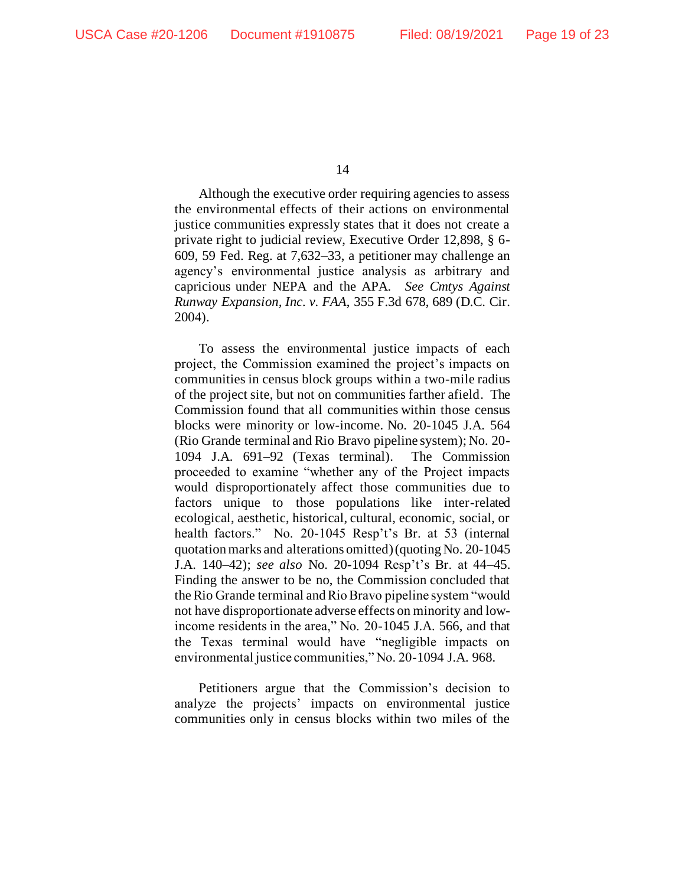Although the executive order requiring agencies to assess the environmental effects of their actions on environmental justice communities expressly states that it does not create a private right to judicial review, Executive Order 12,898, § 6- 609, 59 Fed. Reg. at 7,632–33, a petitioner may challenge an agency's environmental justice analysis as arbitrary and capricious under NEPA and the APA. *See Cmtys Against Runway Expansion, Inc. v. FAA*, 355 F.3d 678, 689 (D.C. Cir. 2004).

To assess the environmental justice impacts of each project, the Commission examined the project's impacts on communities in census block groups within a two-mile radius of the project site, but not on communities farther afield. The Commission found that all communities within those census blocks were minority or low-income. No. 20-1045 J.A. 564 (Rio Grande terminal and Rio Bravo pipeline system); No. 20- 1094 J.A. 691–92 (Texas terminal). The Commission proceeded to examine "whether any of the Project impacts would disproportionately affect those communities due to factors unique to those populations like inter-related ecological, aesthetic, historical, cultural, economic, social, or health factors." No. 20-1045 Resp't's Br. at 53 (internal quotation marks and alterations omitted) (quoting No. 20-1045 J.A. 140–42); *see also* No. 20-1094 Resp't's Br. at 44–45. Finding the answer to be no, the Commission concluded that the Rio Grande terminal and Rio Bravo pipeline system "would not have disproportionate adverse effects on minority and lowincome residents in the area," No. 20-1045 J.A. 566, and that the Texas terminal would have "negligible impacts on environmental justice communities," No. 20-1094 J.A. 968.

Petitioners argue that the Commission's decision to analyze the projects' impacts on environmental justice communities only in census blocks within two miles of the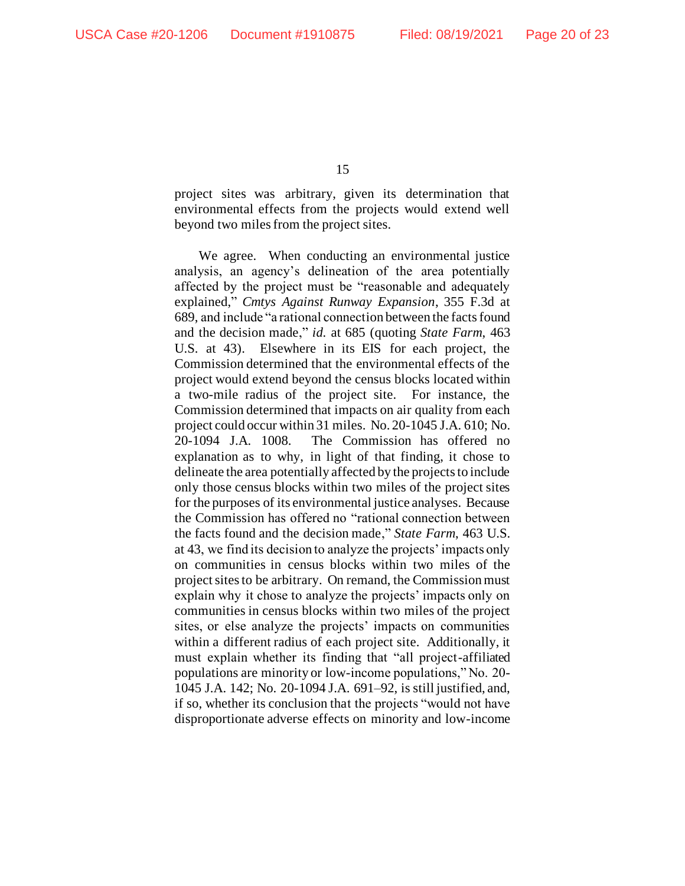project sites was arbitrary, given its determination that environmental effects from the projects would extend well beyond two miles from the project sites.

We agree. When conducting an environmental justice analysis, an agency's delineation of the area potentially affected by the project must be "reasonable and adequately explained," *Cmtys Against Runway Expansion*, 355 F.3d at 689, and include "a rational connection between the facts found and the decision made," *id.* at 685 (quoting *State Farm*, 463 U.S. at 43). Elsewhere in its EIS for each project, the Commission determined that the environmental effects of the project would extend beyond the census blocks located within a two-mile radius of the project site. For instance, the Commission determined that impacts on air quality from each project could occur within 31 miles. No. 20-1045 J.A. 610; No. 20-1094 J.A. 1008. The Commission has offered no explanation as to why, in light of that finding, it chose to delineate the area potentially affected by the projects to include only those census blocks within two miles of the project sites for the purposes of its environmental justice analyses. Because the Commission has offered no "rational connection between the facts found and the decision made," *State Farm*, 463 U.S. at 43, we find its decision to analyze the projects' impacts only on communities in census blocks within two miles of the project sites to be arbitrary. On remand, the Commission must explain why it chose to analyze the projects' impacts only on communities in census blocks within two miles of the project sites, or else analyze the projects' impacts on communities within a different radius of each project site. Additionally, it must explain whether its finding that "all project-affiliated populations are minority or low-income populations," No. 20- 1045 J.A. 142; No. 20-1094 J.A. 691–92, is still justified, and, if so, whether its conclusion that the projects "would not have disproportionate adverse effects on minority and low-income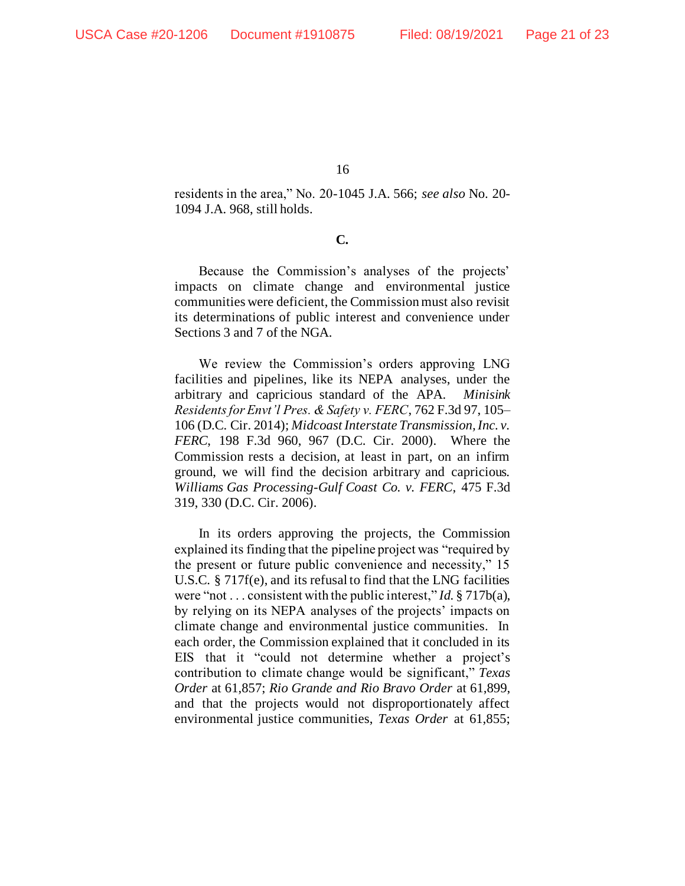residents in the area," No. 20-1045 J.A. 566; *see also* No. 20- 1094 J.A. 968, still holds.

**C.**

Because the Commission's analyses of the projects' impacts on climate change and environmental justice communities were deficient, the Commission must also revisit its determinations of public interest and convenience under Sections 3 and 7 of the NGA.

We review the Commission's orders approving LNG facilities and pipelines, like its NEPA analyses, under the arbitrary and capricious standard of the APA. *Minisink Residents for Envt'l Pres. & Safety v. FERC*, 762 F.3d 97, 105– 106 (D.C. Cir. 2014); *Midcoast Interstate Transmission, Inc. v. FERC*, 198 F.3d 960, 967 (D.C. Cir. 2000). Where the Commission rests a decision, at least in part, on an infirm ground, we will find the decision arbitrary and capricious. *Williams Gas Processing-Gulf Coast Co. v. FERC*, 475 F.3d 319, 330 (D.C. Cir. 2006).

In its orders approving the projects, the Commission explained its finding that the pipeline project was "required by the present or future public convenience and necessity," 15 U.S.C. § 717f(e), and its refusal to find that the LNG facilities were "not . . . consistent with the public interest," *Id.* § 717b(a), by relying on its NEPA analyses of the projects' impacts on climate change and environmental justice communities. In each order, the Commission explained that it concluded in its EIS that it "could not determine whether a project's contribution to climate change would be significant," *Texas Order* at 61,857; *Rio Grande and Rio Bravo Order* at 61,899, and that the projects would not disproportionately affect environmental justice communities, *Texas Order* at 61,855;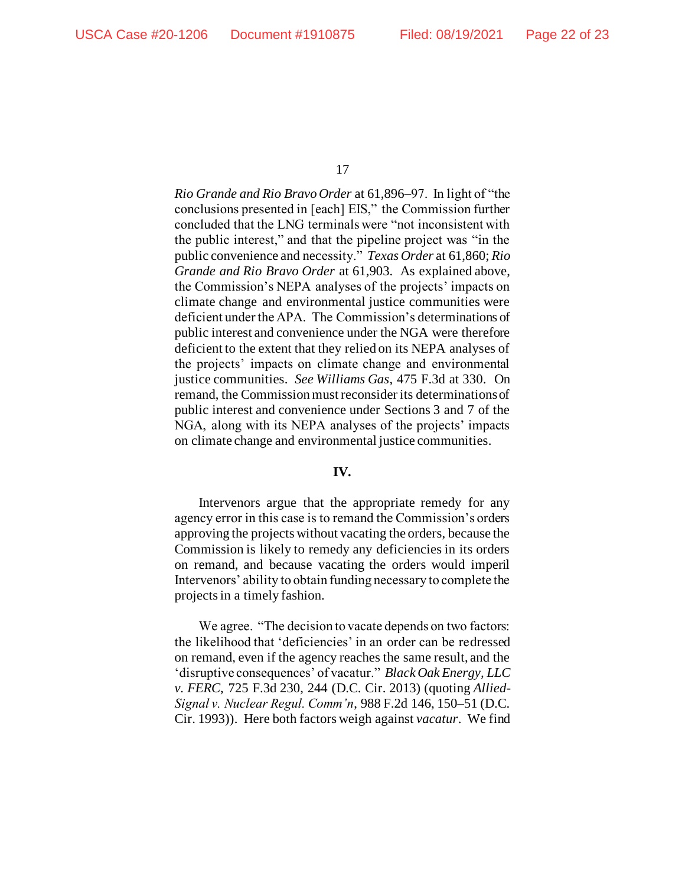*Rio Grande and Rio Bravo Order* at 61,896–97. In light of "the conclusions presented in [each] EIS," the Commission further concluded that the LNG terminals were "not inconsistent with the public interest," and that the pipeline project was "in the public convenience and necessity." *Texas Order* at 61,860; *Rio Grande and Rio Bravo Order* at 61,903. As explained above, the Commission's NEPA analyses of the projects' impacts on climate change and environmental justice communities were deficient under the APA. The Commission's determinations of public interest and convenience under the NGA were therefore deficient to the extent that they relied on its NEPA analyses of the projects' impacts on climate change and environmental justice communities. *See Williams Gas*, 475 F.3d at 330. On remand, the Commission must reconsider its determinations of public interest and convenience under Sections 3 and 7 of the NGA, along with its NEPA analyses of the projects' impacts on climate change and environmental justice communities.

#### **IV.**

Intervenors argue that the appropriate remedy for any agency error in this case is to remand the Commission's orders approving the projects without vacating the orders, because the Commission is likely to remedy any deficiencies in its orders on remand, and because vacating the orders would imperil Intervenors' ability to obtain funding necessary to complete the projects in a timely fashion.

We agree. "The decision to vacate depends on two factors: the likelihood that 'deficiencies' in an order can be redressed on remand, even if the agency reaches the same result, and the 'disruptive consequences' of vacatur." *Black Oak Energy, LLC v. FERC*, 725 F.3d 230, 244 (D.C. Cir. 2013) (quoting *Allied-Signal v. Nuclear Regul. Comm'n*, 988 F.2d 146, 150–51 (D.C. Cir. 1993)). Here both factors weigh against *vacatur*. We find